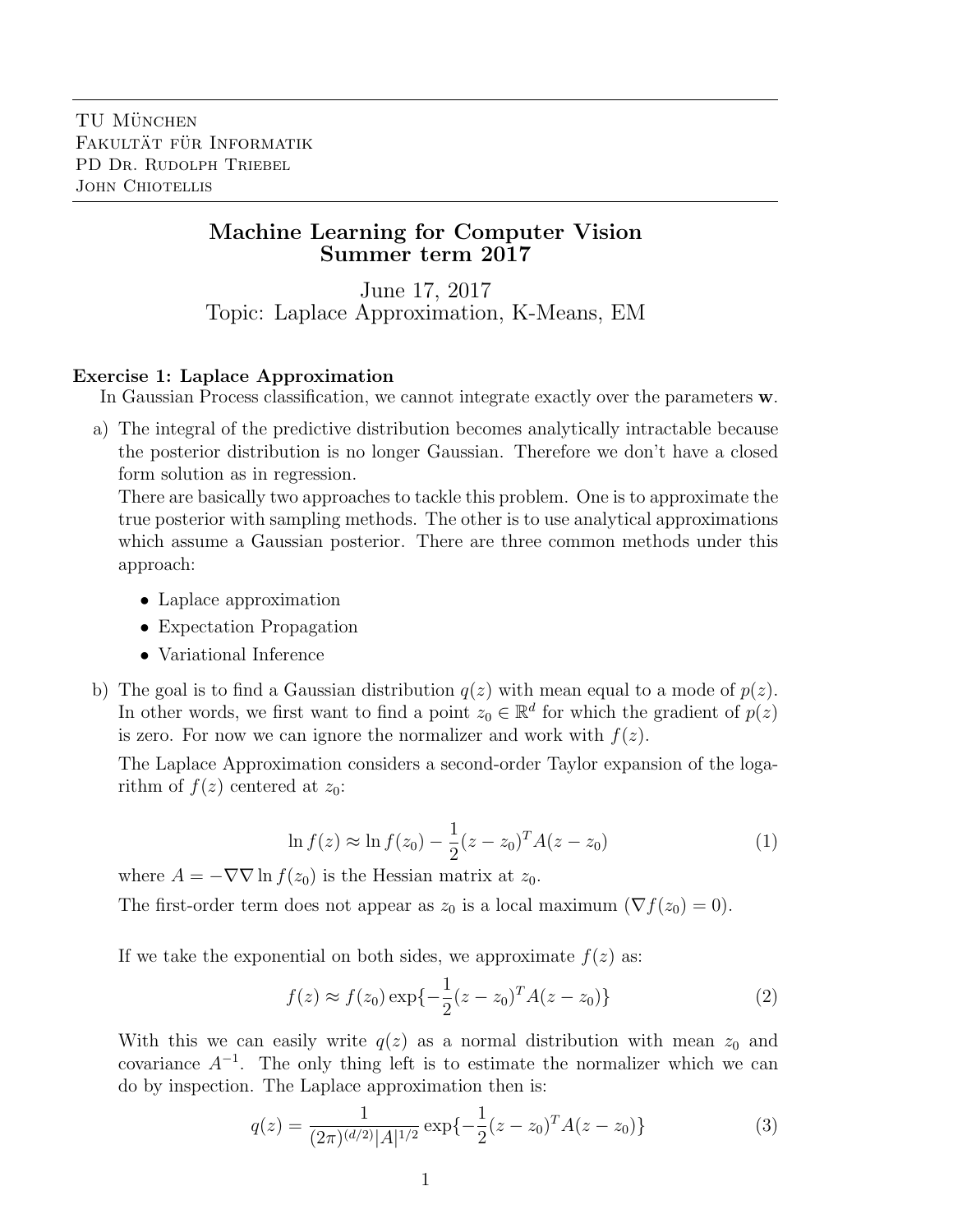## Machine Learning for Computer Vision Summer term 2017

June 17, 2017 Topic: Laplace Approximation, K-Means, EM

## Exercise 1: Laplace Approximation

In Gaussian Process classification, we cannot integrate exactly over the parameters w.

a) The integral of the predictive distribution becomes analytically intractable because the posterior distribution is no longer Gaussian. Therefore we don't have a closed form solution as in regression.

There are basically two approaches to tackle this problem. One is to approximate the true posterior with sampling methods. The other is to use analytical approximations which assume a Gaussian posterior. There are three common methods under this approach:

- Laplace approximation
- Expectation Propagation
- Variational Inference
- b) The goal is to find a Gaussian distribution  $q(z)$  with mean equal to a mode of  $p(z)$ . In other words, we first want to find a point  $z_0 \in \mathbb{R}^d$  for which the gradient of  $p(z)$ is zero. For now we can ignore the normalizer and work with  $f(z)$ .

The Laplace Approximation considers a second-order Taylor expansion of the logarithm of  $f(z)$  centered at  $z_0$ :

$$
\ln f(z) \approx \ln f(z_0) - \frac{1}{2}(z - z_0)^T A(z - z_0)
$$
 (1)

where  $A = -\nabla \nabla \ln f(z_0)$  is the Hessian matrix at  $z_0$ .

The first-order term does not appear as  $z_0$  is a local maximum  $(\nabla f(z_0) = 0)$ .

If we take the exponential on both sides, we approximate  $f(z)$  as:

$$
f(z) \approx f(z_0) \exp\{-\frac{1}{2}(z - z_0)^T A(z - z_0)\}\tag{2}
$$

With this we can easily write  $q(z)$  as a normal distribution with mean  $z_0$  and covariance  $A^{-1}$ . The only thing left is to estimate the normalizer which we can do by inspection. The Laplace approximation then is:

$$
q(z) = \frac{1}{(2\pi)^{(d/2)}|A|^{1/2}} \exp\{-\frac{1}{2}(z-z_0)^T A(z-z_0)\}\tag{3}
$$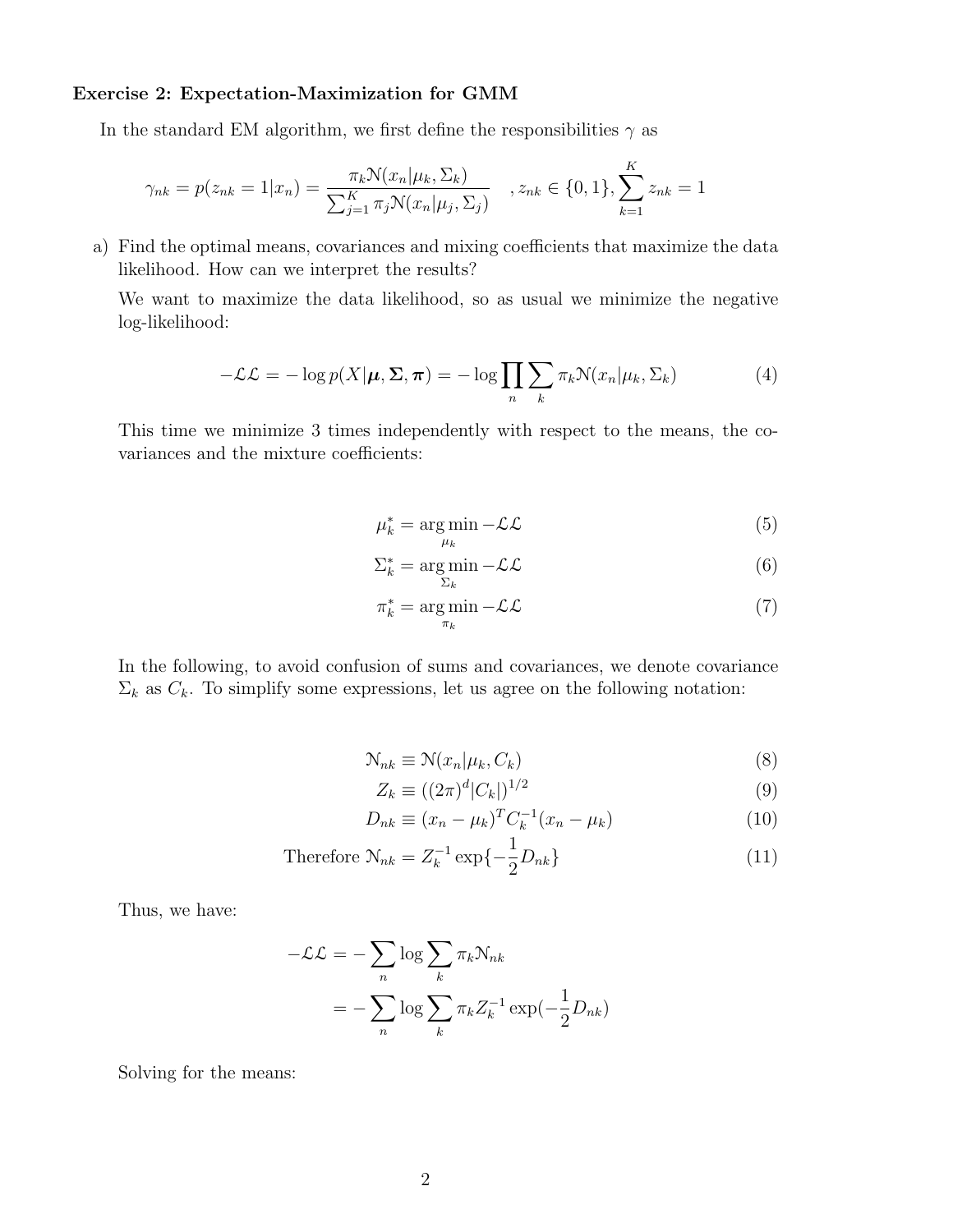## Exercise 2: Expectation-Maximization for GMM

In the standard EM algorithm, we first define the responsibilities  $\gamma$  as

$$
\gamma_{nk} = p(z_{nk} = 1 | x_n) = \frac{\pi_k \mathcal{N}(x_n | \mu_k, \Sigma_k)}{\sum_{j=1}^K \pi_j \mathcal{N}(x_n | \mu_j, \Sigma_j)}, \quad z_{nk} \in \{0, 1\}, \sum_{k=1}^K z_{nk} = 1
$$

a) Find the optimal means, covariances and mixing coefficients that maximize the data likelihood. How can we interpret the results?

We want to maximize the data likelihood, so as usual we minimize the negative log-likelihood:

$$
-\mathcal{L}\mathcal{L} = -\log p(X|\boldsymbol{\mu}, \boldsymbol{\Sigma}, \boldsymbol{\pi}) = -\log \prod_{n} \sum_{k} \pi_k \mathcal{N}(x_n|\mu_k, \Sigma_k)
$$
(4)

This time we minimize 3 times independently with respect to the means, the covariances and the mixture coefficients:

$$
\mu_k^* = \underset{\mu_k}{\arg\min} -\mathcal{L}\mathcal{L} \tag{5}
$$

$$
\Sigma_k^* = \underset{\Sigma_k}{\arg\min} -\mathcal{L}\mathcal{L}
$$
 (6)

$$
\pi_k^* = \underset{\pi_k}{\arg\min} -\mathcal{L}\mathcal{L}
$$
\n(7)

In the following, to avoid confusion of sums and covariances, we denote covariance  $\Sigma_k$  as  $C_k$ . To simplify some expressions, let us agree on the following notation:

$$
\mathcal{N}_{nk} \equiv \mathcal{N}(x_n | \mu_k, C_k)
$$
\n(8)

$$
Z_k \equiv ((2\pi)^d |C_k|)^{1/2}
$$
\n(9)

$$
D_{nk} \equiv (x_n - \mu_k)^T C_k^{-1} (x_n - \mu_k)
$$
\n(10)

Therefore 
$$
\mathcal{N}_{nk} = Z_k^{-1} \exp\{-\frac{1}{2}D_{nk}\}\tag{11}
$$

Thus, we have:

$$
-\mathcal{L}\mathcal{L} = -\sum_{n} \log \sum_{k} \pi_{k} \mathcal{N}_{nk}
$$

$$
= -\sum_{n} \log \sum_{k} \pi_{k} Z_{k}^{-1} \exp(-\frac{1}{2}D_{nk})
$$

Solving for the means: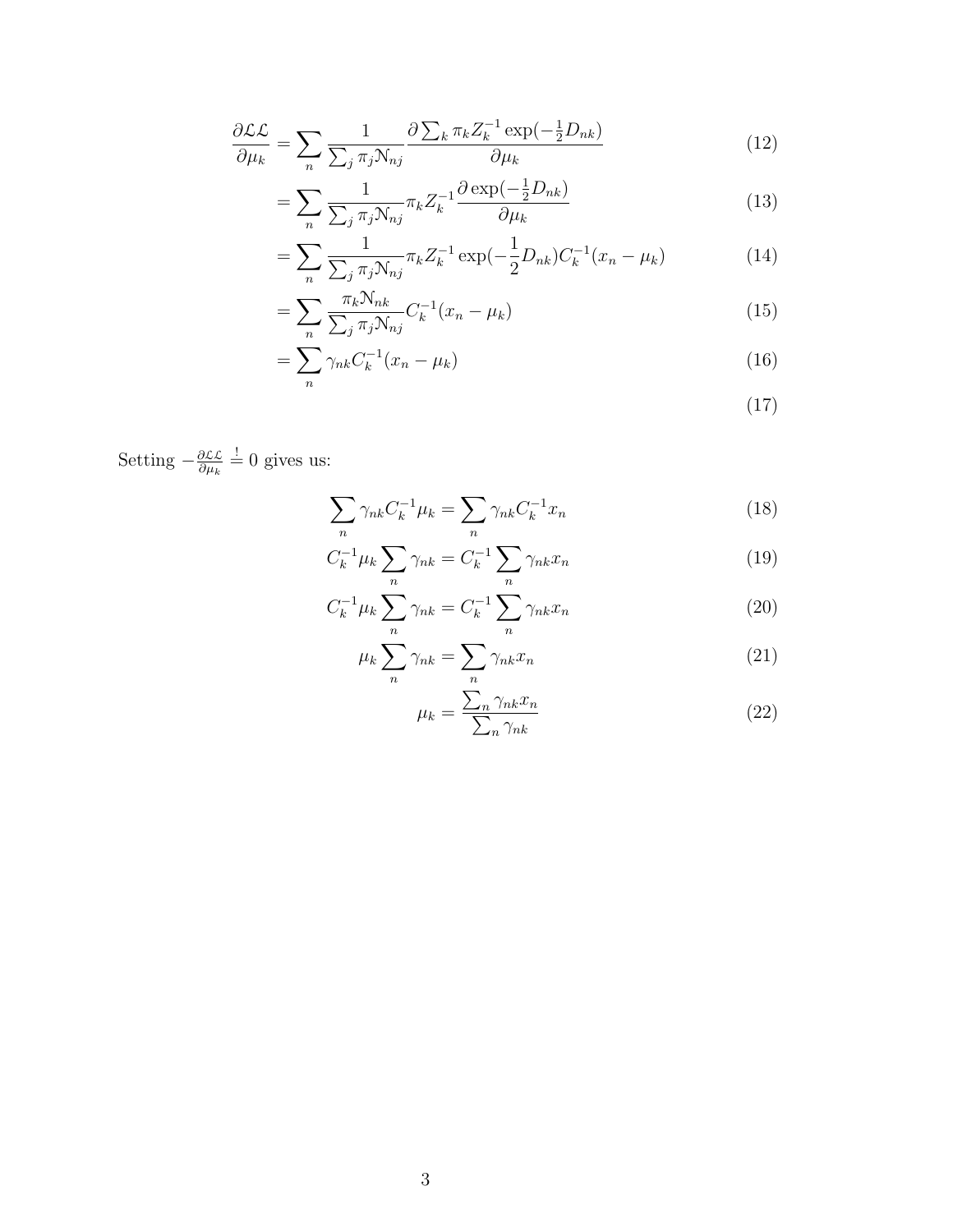$$
\frac{\partial \mathcal{L}\mathcal{L}}{\partial \mu_k} = \sum_n \frac{1}{\sum_j \pi_j \mathcal{N}_{nj}} \frac{\partial \sum_k \pi_k Z_k^{-1} \exp(-\frac{1}{2}D_{nk})}{\partial \mu_k} \tag{12}
$$

$$
=\sum_{n}\frac{1}{\sum_{j}\pi_{j}N_{nj}}\pi_{k}Z_{k}^{-1}\frac{\partial\exp(-\frac{1}{2}D_{nk})}{\partial\mu_{k}}\tag{13}
$$

$$
= \sum_{n} \frac{1}{\sum_{j} \pi_{j} \mathcal{N}_{nj}} \pi_{k} Z_{k}^{-1} \exp(-\frac{1}{2} D_{nk}) C_{k}^{-1} (x_{n} - \mu_{k})
$$
(14)

$$
=\sum_{n}\frac{\pi_{k}N_{nk}}{\sum_{j}\pi_{j}N_{nj}}C_{k}^{-1}(x_{n}-\mu_{k})
$$
\n(15)

$$
=\sum_{n}\gamma_{nk}C_k^{-1}(x_n-\mu_k)\tag{16}
$$

$$
(17)
$$

Setting  $-\frac{\partial \mathcal{L}\mathcal{L}}{\partial u}$  $\frac{\partial \mathcal{L}\mathcal{L}}{\partial \mu_k} = 0$  gives us:

$$
\sum_{n} \gamma_{nk} C_k^{-1} \mu_k = \sum_{n} \gamma_{nk} C_k^{-1} x_n \tag{18}
$$

$$
C_k^{-1} \mu_k \sum_n \gamma_{nk} = C_k^{-1} \sum_n \gamma_{nk} x_n \tag{19}
$$

$$
C_k^{-1} \mu_k \sum_n \gamma_{nk} = C_k^{-1} \sum_n \gamma_{nk} x_n \tag{20}
$$

$$
\mu_k \sum_n \gamma_{nk} = \sum_n \gamma_{nk} x_n \tag{21}
$$

$$
\mu_k = \frac{\sum_n \gamma_{nk} x_n}{\sum_n \gamma_{nk}} \tag{22}
$$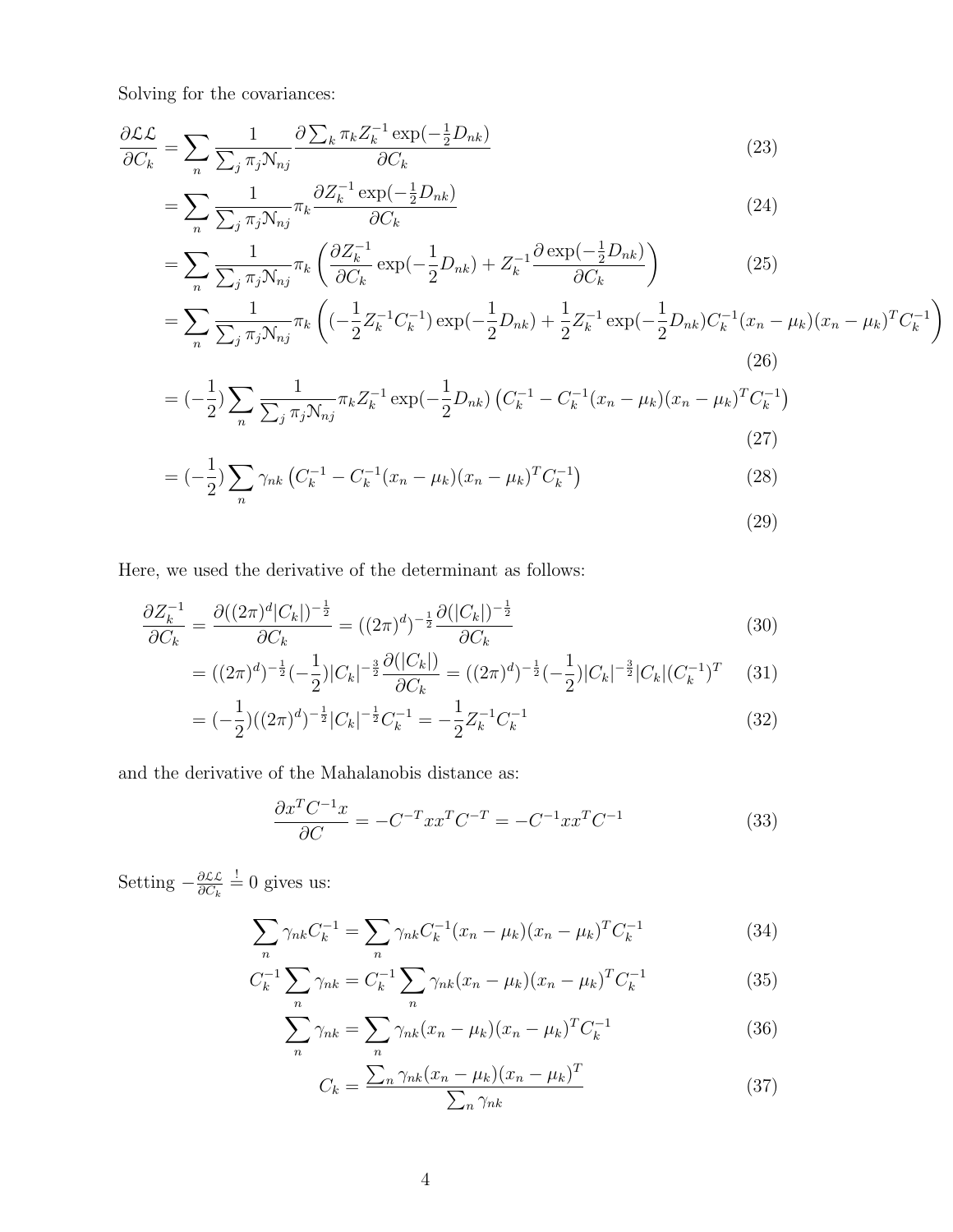Solving for the covariances:

$$
\frac{\partial \mathcal{L}\mathcal{L}}{\partial C_k} = \sum_n \frac{1}{\sum_j \pi_j \mathcal{N}_{nj}} \frac{\partial \sum_k \pi_k Z_k^{-1} \exp(-\frac{1}{2}D_{nk})}{\partial C_k} \tag{23}
$$

$$
=\sum_{n}\frac{1}{\sum_{j}\pi_{j}N_{nj}}\pi_{k}\frac{\partial Z_{k}^{-1}\exp\left(-\frac{1}{2}D_{nk}\right)}{\partial C_{k}}\tag{24}
$$

$$
= \sum_{n} \frac{1}{\sum_{j} \pi_{j} \mathcal{N}_{nj}} \pi_{k} \left( \frac{\partial Z_{k}^{-1}}{\partial C_{k}} \exp\left(-\frac{1}{2} D_{nk}\right) + Z_{k}^{-1} \frac{\partial \exp\left(-\frac{1}{2} D_{nk}\right)}{\partial C_{k}} \right)
$$
(25)

$$
= \sum_{n} \frac{1}{\sum_{j} \pi_{j} N_{nj}} \pi_{k} \left( (-\frac{1}{2} Z_{k}^{-1} C_{k}^{-1}) \exp(-\frac{1}{2} D_{nk}) + \frac{1}{2} Z_{k}^{-1} \exp(-\frac{1}{2} D_{nk}) C_{k}^{-1} (x_{n} - \mu_{k}) (x_{n} - \mu_{k})^{T} C_{k}^{-1} \right)
$$
\n(26)

$$
= (-\frac{1}{2}) \sum_{n} \frac{1}{\sum_{j} \pi_{j} N_{nj}} \pi_{k} Z_{k}^{-1} \exp(-\frac{1}{2} D_{nk}) \left( C_{k}^{-1} - C_{k}^{-1} (x_{n} - \mu_{k}) (x_{n} - \mu_{k})^{T} C_{k}^{-1} \right)
$$
\n(27)

$$
= (-\frac{1}{2}) \sum_{n} \gamma_{nk} \left( C_{k}^{-1} - C_{k}^{-1} (x_{n} - \mu_{k}) (x_{n} - \mu_{k})^{T} C_{k}^{-1} \right)
$$
\n(28)

(29)

Here, we used the derivative of the determinant as follows:

$$
\frac{\partial Z_k^{-1}}{\partial C_k} = \frac{\partial ((2\pi)^d |C_k|)^{-\frac{1}{2}}}{\partial C_k} = ((2\pi)^d)^{-\frac{1}{2}} \frac{\partial (|C_k|)^{-\frac{1}{2}}}{\partial C_k} \tag{30}
$$

$$
= ((2\pi)^d)^{-\frac{1}{2}}(-\frac{1}{2})|C_k|^{-\frac{3}{2}}\frac{\partial(|C_k|)}{\partial C_k} = ((2\pi)^d)^{-\frac{1}{2}}(-\frac{1}{2})|C_k|^{-\frac{3}{2}}|C_k|(C_k^{-1})^T \tag{31}
$$

$$
= (-\frac{1}{2})((2\pi)^d)^{-\frac{1}{2}}|C_k|^{-\frac{1}{2}}C_k^{-1} = -\frac{1}{2}Z_k^{-1}C_k^{-1}
$$
\n(32)

and the derivative of the Mahalanobis distance as:

$$
\frac{\partial x^T C^{-1} x}{\partial C} = -C^{-T} x x^T C^{-T} = -C^{-1} x x^T C^{-1}
$$
\n(33)

Setting  $-\frac{\partial \mathcal{L}\mathcal{L}}{\partial C_1}$  $\frac{\partial \mathcal{L}\mathcal{L}}{\partial C_k} = 0$  gives us:

$$
\sum_{n} \gamma_{nk} C_k^{-1} = \sum_{n} \gamma_{nk} C_k^{-1} (x_n - \mu_k)(x_n - \mu_k)^T C_k^{-1}
$$
\n(34)

$$
C_k^{-1} \sum_n \gamma_{nk} = C_k^{-1} \sum_n \gamma_{nk} (x_n - \mu_k)(x_n - \mu_k)^T C_k^{-1}
$$
 (35)

$$
\sum_{n} \gamma_{nk} = \sum_{n} \gamma_{nk} (x_n - \mu_k)(x_n - \mu_k)^T C_k^{-1}
$$
 (36)

$$
C_k = \frac{\sum_n \gamma_{nk} (x_n - \mu_k)(x_n - \mu_k)^T}{\sum_n \gamma_{nk}}
$$
(37)